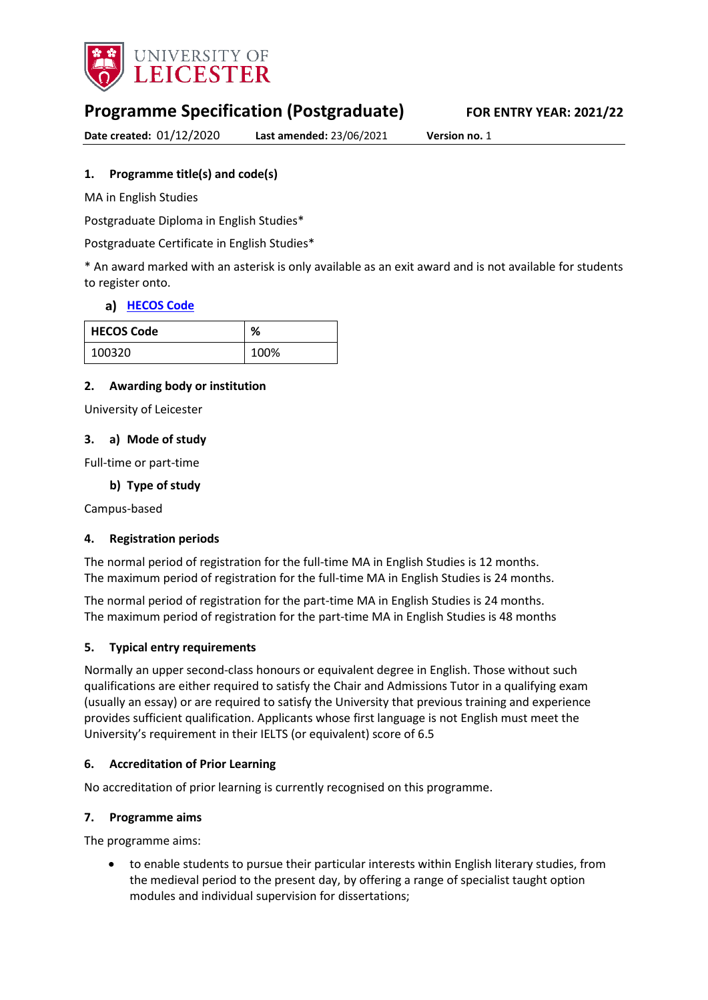

# **Programme Specification (Postgraduate) FOR ENTRY YEAR: 2021/22**

**Date created:** 01/12/2020 **Last amended:** 23/06/2021 **Version no.** 1

# <span id="page-0-0"></span>**1. Programme title(s) and code(s)**

MA in English Studies

Postgraduate Diploma in English Studies\*

Postgraduate Certificate in English Studies\*

\* An award marked with an asterisk is only available as an exit award and is not available for students to register onto.

# **[HECOS Code](https://www.hesa.ac.uk/innovation/hecos)**

| <b>HECOS Code</b> | $\mathbf{a}$<br>70 |
|-------------------|--------------------|
| 100320            | 100%               |

## **2. Awarding body or institution**

University of Leicester

## **3. a) Mode of study**

Full-time or part-time

## **b) Type of study**

Campus-based

### **4. Registration periods**

The normal period of registration for the full-time MA in English Studies is 12 months. The maximum period of registration for the full-time MA in English Studies is 24 months.

The normal period of registration for the part-time MA in English Studies is 24 months. The maximum period of registration for the part-time MA in English Studies is 48 months

### **5. Typical entry requirements**

Normally an upper second-class honours or equivalent degree in English. Those without such qualifications are either required to satisfy the Chair and Admissions Tutor in a qualifying exam (usually an essay) or are required to satisfy the University that previous training and experience provides sufficient qualification. Applicants whose first language is not English must meet the University's requirement in their IELTS (or equivalent) score of 6.5

### **6. Accreditation of Prior Learning**

No accreditation of prior learning is currently recognised on this programme.

### **7. Programme aims**

The programme aims:

• to enable students to pursue their particular interests within English literary studies, from the medieval period to the present day, by offering a range of specialist taught option modules and individual supervision for dissertations;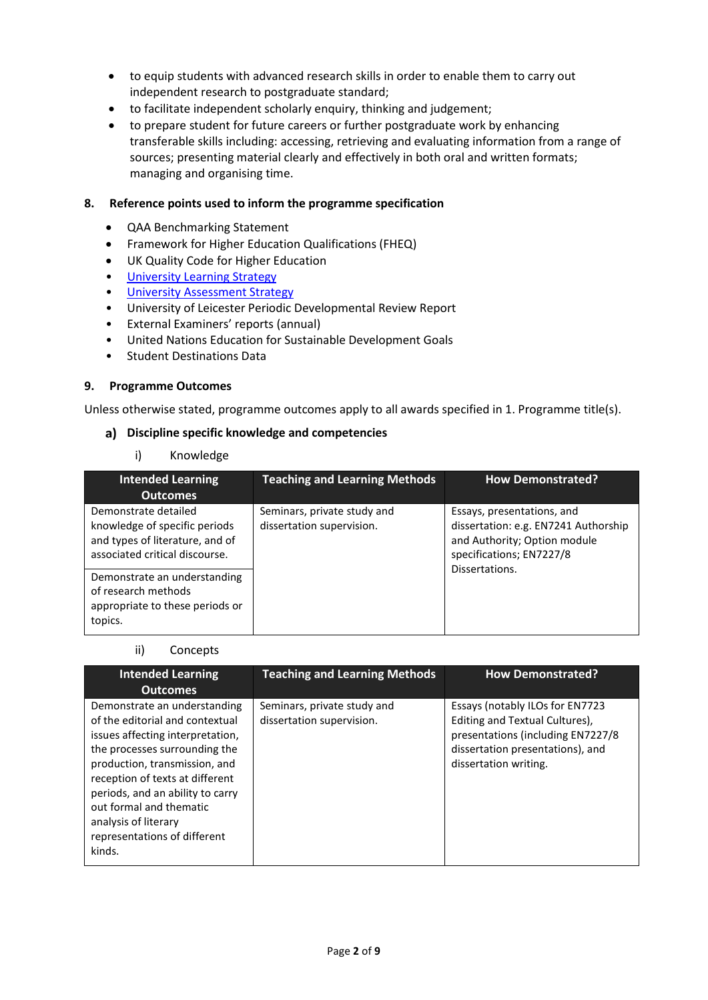- to equip students with advanced research skills in order to enable them to carry out independent research to postgraduate standard;
- to facilitate independent scholarly enquiry, thinking and judgement;
- to prepare student for future careers or further postgraduate work by enhancing transferable skills including: accessing, retrieving and evaluating information from a range of sources; presenting material clearly and effectively in both oral and written formats; managing and organising time.

#### **8. Reference points used to inform the programme specification**

- QAA Benchmarking Statement
- Framework for Higher Education Qualifications (FHEQ)
- UK Quality Code for Higher Education
- [University Learning](https://www2.le.ac.uk/offices/sas2/quality/learnteach) Strategy
- [University Assessment Strategy](https://www2.le.ac.uk/offices/sas2/quality/learnteach)
- University of Leicester Periodic Developmental Review Report
- External Examiners' reports (annual)
- United Nations Education for Sustainable Development Goals
- Student Destinations Data

#### **9. Programme Outcomes**

Unless otherwise stated, programme outcomes apply to all awards specified in [1.](#page-0-0) Programme title(s).

#### **Discipline specific knowledge and competencies**

i) Knowledge

| <b>Intended Learning</b><br><b>Outcomes</b>                                                                                | <b>Teaching and Learning Methods</b>                     | <b>How Demonstrated?</b>                                                                                                       |
|----------------------------------------------------------------------------------------------------------------------------|----------------------------------------------------------|--------------------------------------------------------------------------------------------------------------------------------|
| Demonstrate detailed<br>knowledge of specific periods<br>and types of literature, and of<br>associated critical discourse. | Seminars, private study and<br>dissertation supervision. | Essays, presentations, and<br>dissertation: e.g. EN7241 Authorship<br>and Authority; Option module<br>specifications; EN7227/8 |
| Demonstrate an understanding<br>of research methods<br>appropriate to these periods or<br>topics.                          |                                                          | Dissertations.                                                                                                                 |

#### ii) Concepts

| <b>Intended Learning</b><br><b>Outcomes</b>                                                                                                                                                                                                                                                                                               | <b>Teaching and Learning Methods</b>                     | <b>How Demonstrated?</b>                                                                                                                                            |
|-------------------------------------------------------------------------------------------------------------------------------------------------------------------------------------------------------------------------------------------------------------------------------------------------------------------------------------------|----------------------------------------------------------|---------------------------------------------------------------------------------------------------------------------------------------------------------------------|
| Demonstrate an understanding<br>of the editorial and contextual<br>issues affecting interpretation,<br>the processes surrounding the<br>production, transmission, and<br>reception of texts at different<br>periods, and an ability to carry<br>out formal and thematic<br>analysis of literary<br>representations of different<br>kinds. | Seminars, private study and<br>dissertation supervision. | Essays (notably ILOs for EN7723<br>Editing and Textual Cultures),<br>presentations (including EN7227/8<br>dissertation presentations), and<br>dissertation writing. |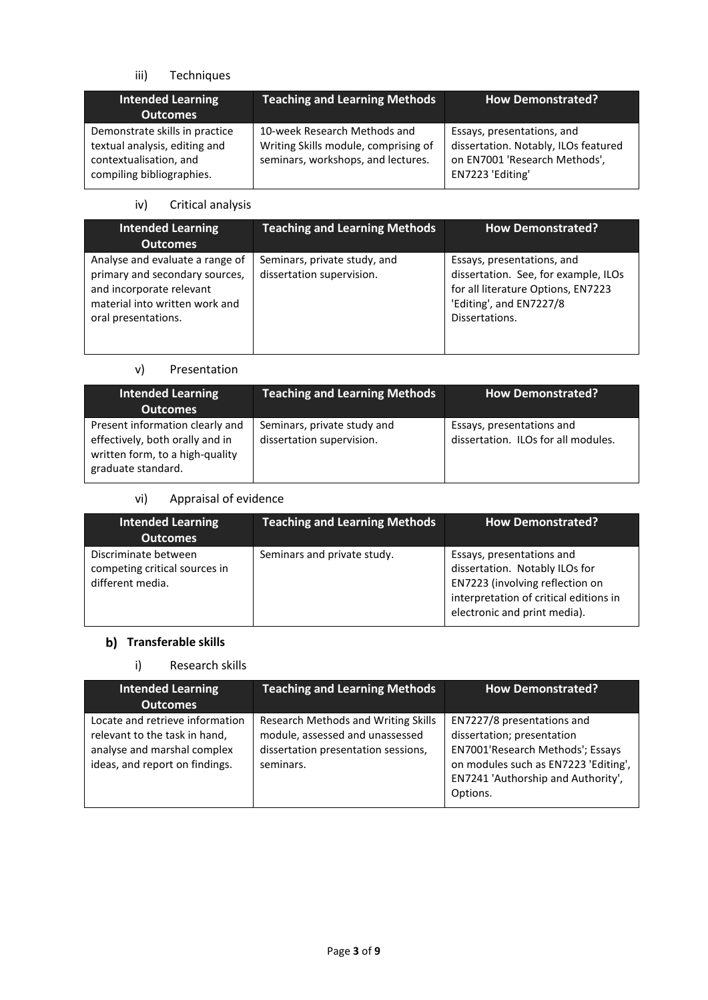# iii) Techniques

| <b>Intended Learning</b><br><b>Outcomes</b>                                                                            | <b>Teaching and Learning Methods</b>                                                                       | <b>How Demonstrated?</b>                                                                                                |
|------------------------------------------------------------------------------------------------------------------------|------------------------------------------------------------------------------------------------------------|-------------------------------------------------------------------------------------------------------------------------|
| Demonstrate skills in practice<br>textual analysis, editing and<br>contextualisation, and<br>compiling bibliographies. | 10-week Research Methods and<br>Writing Skills module, comprising of<br>seminars, workshops, and lectures. | Essays, presentations, and<br>dissertation. Notably, ILOs featured<br>on EN7001 'Research Methods',<br>EN7223 'Editing' |

iv) Critical analysis

| <b>Intended Learning</b><br><b>Outcomes</b>                                                                                                            | <b>Teaching and Learning Methods</b>                      | <b>How Demonstrated?</b>                                                                                                                              |
|--------------------------------------------------------------------------------------------------------------------------------------------------------|-----------------------------------------------------------|-------------------------------------------------------------------------------------------------------------------------------------------------------|
| Analyse and evaluate a range of<br>primary and secondary sources,<br>and incorporate relevant<br>material into written work and<br>oral presentations. | Seminars, private study, and<br>dissertation supervision. | Essays, presentations, and<br>dissertation. See, for example, ILOs<br>for all literature Options, EN7223<br>'Editing', and EN7227/8<br>Dissertations. |

## v) Presentation

| <b>Intended Learning</b><br><b>Outcomes</b>                                                                                 | <b>Teaching and Learning Methods</b>                     | <b>How Demonstrated?</b>                                         |
|-----------------------------------------------------------------------------------------------------------------------------|----------------------------------------------------------|------------------------------------------------------------------|
| Present information clearly and<br>effectively, both orally and in<br>written form, to a high-quality<br>graduate standard. | Seminars, private study and<br>dissertation supervision. | Essays, presentations and<br>dissertation. ILOs for all modules. |

# vi) Appraisal of evidence

| <b>Intended Learning</b><br><b>Outcomes</b>                               | <b>Teaching and Learning Methods</b> | <b>How Demonstrated?</b>                                                                                                                                                 |
|---------------------------------------------------------------------------|--------------------------------------|--------------------------------------------------------------------------------------------------------------------------------------------------------------------------|
| Discriminate between<br>competing critical sources in<br>different media. | Seminars and private study.          | Essays, presentations and<br>dissertation. Notably ILOs for<br>EN7223 (involving reflection on<br>interpretation of critical editions in<br>electronic and print media). |

# **b)** Transferable skills

# i) Research skills

| <b>Intended Learning</b><br><b>Outcomes</b>                                                                                       | <b>Teaching and Learning Methods</b>                                                                                       | <b>How Demonstrated?</b>                                                                                                                                                               |
|-----------------------------------------------------------------------------------------------------------------------------------|----------------------------------------------------------------------------------------------------------------------------|----------------------------------------------------------------------------------------------------------------------------------------------------------------------------------------|
| Locate and retrieve information<br>relevant to the task in hand,<br>analyse and marshal complex<br>ideas, and report on findings. | Research Methods and Writing Skills<br>module, assessed and unassessed<br>dissertation presentation sessions,<br>seminars. | EN7227/8 presentations and<br>dissertation; presentation<br>EN7001'Research Methods'; Essays<br>on modules such as EN7223 'Editing',<br>EN7241 'Authorship and Authority',<br>Options. |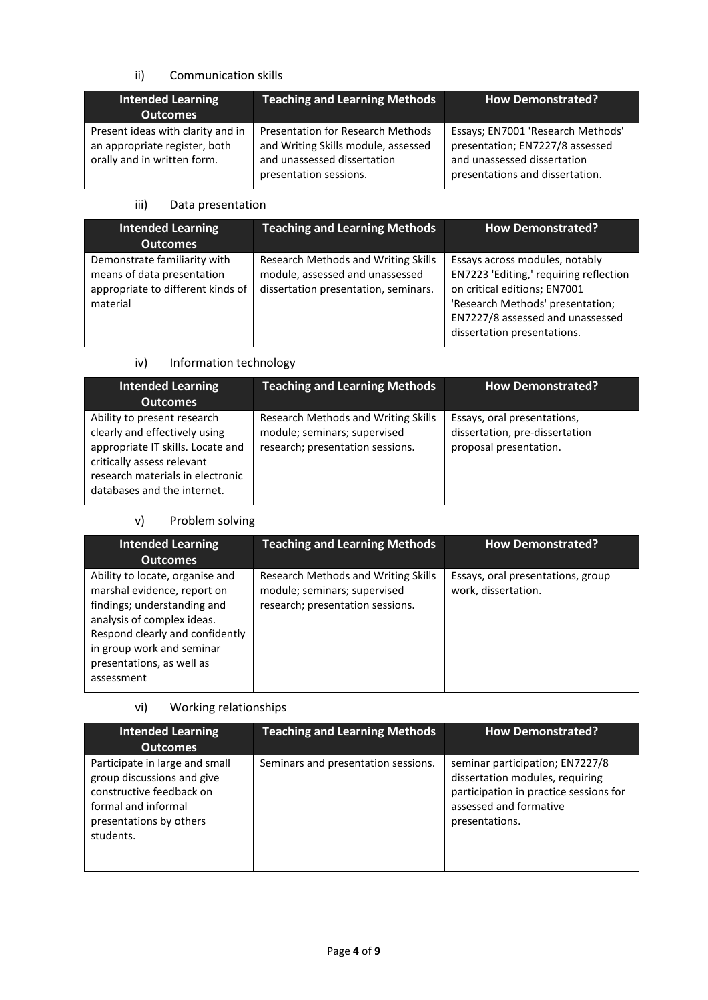# ii) Communication skills

| <b>Intended Learning</b><br><b>Outcomes</b>                                                       | <b>Teaching and Learning Methods</b>                                                                                                     | <b>How Demonstrated?</b>                                                                                                               |
|---------------------------------------------------------------------------------------------------|------------------------------------------------------------------------------------------------------------------------------------------|----------------------------------------------------------------------------------------------------------------------------------------|
| Present ideas with clarity and in<br>an appropriate register, both<br>orally and in written form. | <b>Presentation for Research Methods</b><br>and Writing Skills module, assessed<br>and unassessed dissertation<br>presentation sessions. | Essays; EN7001 'Research Methods'<br>presentation; EN7227/8 assessed<br>and unassessed dissertation<br>presentations and dissertation. |

## iii) Data presentation

| <b>Intended Learning</b><br><b>Outcomes</b>                                                                 | <b>Teaching and Learning Methods</b>                                                                           | <b>How Demonstrated?</b>                                                                                                                                                                                        |
|-------------------------------------------------------------------------------------------------------------|----------------------------------------------------------------------------------------------------------------|-----------------------------------------------------------------------------------------------------------------------------------------------------------------------------------------------------------------|
| Demonstrate familiarity with<br>means of data presentation<br>appropriate to different kinds of<br>material | Research Methods and Writing Skills<br>module, assessed and unassessed<br>dissertation presentation, seminars. | Essays across modules, notably<br>EN7223 'Editing,' requiring reflection<br>on critical editions; EN7001<br>'Research Methods' presentation;<br>EN7227/8 assessed and unassessed<br>dissertation presentations. |

# iv) Information technology

| <b>Intended Learning</b><br><b>Outcomes</b>                                                                                                                                                        | <b>Teaching and Learning Methods</b>                                                                    | <b>How Demonstrated?</b>                                                                |
|----------------------------------------------------------------------------------------------------------------------------------------------------------------------------------------------------|---------------------------------------------------------------------------------------------------------|-----------------------------------------------------------------------------------------|
| Ability to present research<br>clearly and effectively using<br>appropriate IT skills. Locate and<br>critically assess relevant<br>research materials in electronic<br>databases and the internet. | Research Methods and Writing Skills<br>module; seminars; supervised<br>research; presentation sessions. | Essays, oral presentations,<br>dissertation, pre-dissertation<br>proposal presentation. |

# v) Problem solving

| <b>Intended Learning</b><br><b>Outcomes</b>                                                                                                                                                                                            | <b>Teaching and Learning Methods</b>                                                                    | <b>How Demonstrated?</b>                                 |
|----------------------------------------------------------------------------------------------------------------------------------------------------------------------------------------------------------------------------------------|---------------------------------------------------------------------------------------------------------|----------------------------------------------------------|
| Ability to locate, organise and<br>marshal evidence, report on<br>findings; understanding and<br>analysis of complex ideas.<br>Respond clearly and confidently<br>in group work and seminar<br>presentations, as well as<br>assessment | Research Methods and Writing Skills<br>module; seminars; supervised<br>research; presentation sessions. | Essays, oral presentations, group<br>work, dissertation. |

# vi) Working relationships

| <b>Intended Learning</b>                                                                                                                                | <b>Teaching and Learning Methods</b> | <b>How Demonstrated?</b>                                                                                                                                 |
|---------------------------------------------------------------------------------------------------------------------------------------------------------|--------------------------------------|----------------------------------------------------------------------------------------------------------------------------------------------------------|
| Outcomes                                                                                                                                                |                                      |                                                                                                                                                          |
| Participate in large and small<br>group discussions and give<br>constructive feedback on<br>formal and informal<br>presentations by others<br>students. | Seminars and presentation sessions.  | seminar participation; EN7227/8<br>dissertation modules, requiring<br>participation in practice sessions for<br>assessed and formative<br>presentations. |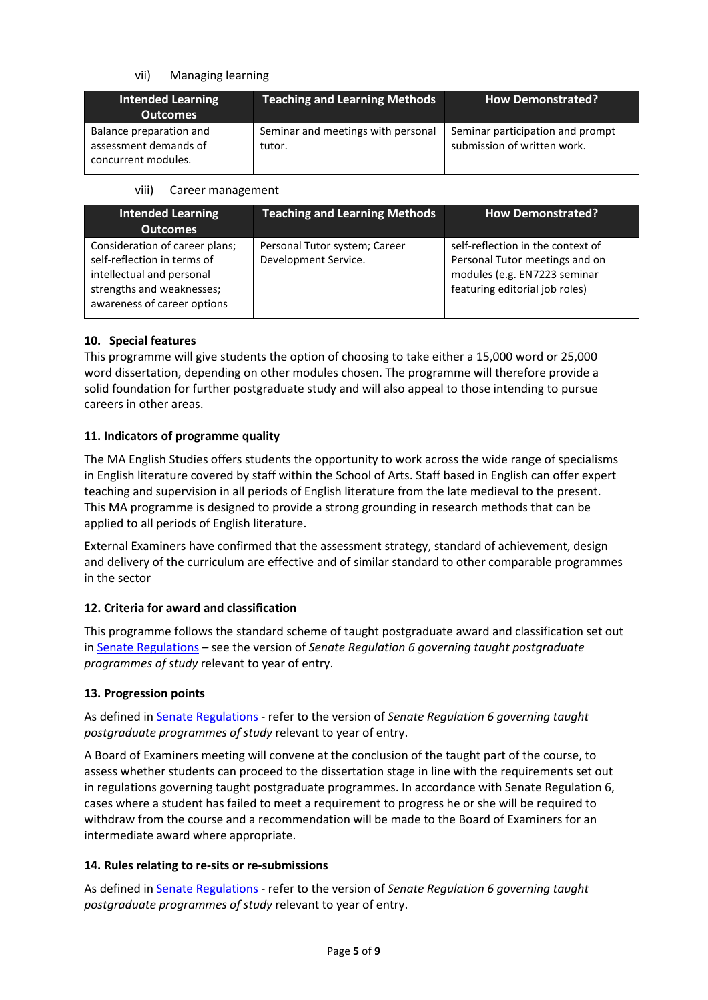## vii) Managing learning

| <b>Intended Learning</b><br><b>Outcomes</b>                             | <b>Teaching and Learning Methods</b>         | <b>How Demonstrated?</b>                                        |
|-------------------------------------------------------------------------|----------------------------------------------|-----------------------------------------------------------------|
| Balance preparation and<br>assessment demands of<br>concurrent modules. | Seminar and meetings with personal<br>tutor. | Seminar participation and prompt<br>submission of written work. |

#### viii) Career management

| <b>Intended Learning</b><br><b>Outcomes</b>                                                                                                            | <b>Teaching and Learning Methods</b>                  | <b>How Demonstrated?</b>                                                                                                              |
|--------------------------------------------------------------------------------------------------------------------------------------------------------|-------------------------------------------------------|---------------------------------------------------------------------------------------------------------------------------------------|
| Consideration of career plans;<br>self-reflection in terms of<br>intellectual and personal<br>strengths and weaknesses;<br>awareness of career options | Personal Tutor system; Career<br>Development Service. | self-reflection in the context of<br>Personal Tutor meetings and on<br>modules (e.g. EN7223 seminar<br>featuring editorial job roles) |

## **10. Special features**

This programme will give students the option of choosing to take either a 15,000 word or 25,000 word dissertation, depending on other modules chosen. The programme will therefore provide a solid foundation for further postgraduate study and will also appeal to those intending to pursue careers in other areas.

## **11. Indicators of programme quality**

The MA English Studies offers students the opportunity to work across the wide range of specialisms in English literature covered by staff within the School of Arts. Staff based in English can offer expert teaching and supervision in all periods of English literature from the late medieval to the present. This MA programme is designed to provide a strong grounding in research methods that can be applied to all periods of English literature.

External Examiners have confirmed that the assessment strategy, standard of achievement, design and delivery of the curriculum are effective and of similar standard to other comparable programmes in the sector

### **12. Criteria for award and classification**

This programme follows the standard scheme of taught postgraduate award and classification set out i[n Senate Regulations](http://www.le.ac.uk/senate-regulations) – see the version of *Senate Regulation 6 governing taught postgraduate programmes of study* relevant to year of entry.

### **13. Progression points**

As defined i[n Senate Regulations](http://www.le.ac.uk/senate-regulation6) - refer to the version of *Senate Regulation 6 governing taught postgraduate programmes of study* relevant to year of entry.

A Board of Examiners meeting will convene at the conclusion of the taught part of the course, to assess whether students can proceed to the dissertation stage in line with the requirements set out in regulations governing taught postgraduate programmes. In accordance with Senate Regulation 6, cases where a student has failed to meet a requirement to progress he or she will be required to withdraw from the course and a recommendation will be made to the Board of Examiners for an intermediate award where appropriate.

### **14. Rules relating to re-sits or re-submissions**

As defined i[n Senate Regulations](http://www.le.ac.uk/senate-regulation6) - refer to the version of *Senate Regulation 6 governing taught postgraduate programmes of study* relevant to year of entry.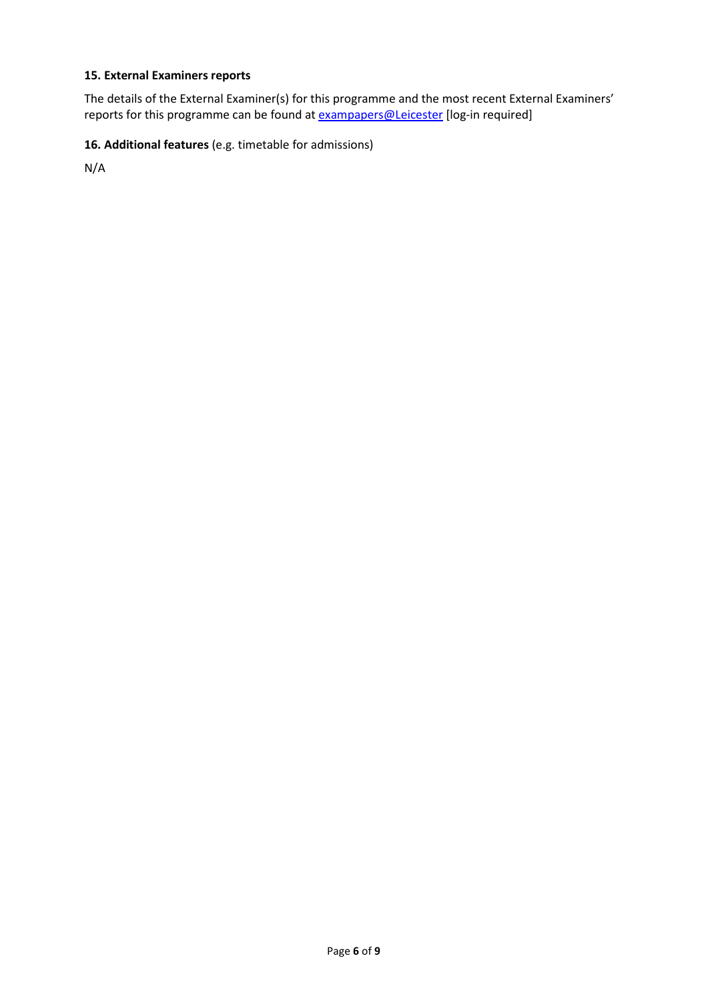# **15. External Examiners reports**

The details of the External Examiner(s) for this programme and the most recent External Examiners' reports for this programme can be found at **exampapers@Leicester** [log-in required]

# **16. Additional features** (e.g. timetable for admissions)

N/A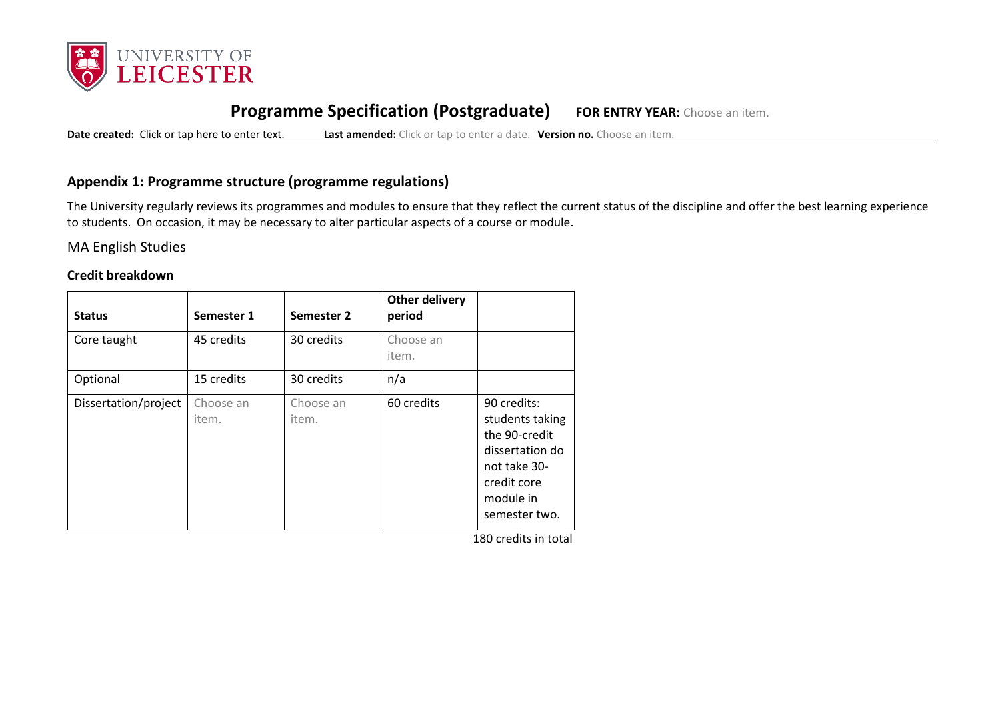

# **Programme Specification (Postgraduate) FOR ENTRY YEAR:** Choose an item.

**Date created:** Click or tap here to enter text. **Last amended:** Click or tap to enter a date. **Version no.** Choose an item.

# **Appendix 1: Programme structure (programme regulations)**

The University regularly reviews its programmes and modules to ensure that they reflect the current status of the discipline and offer the best learning experience to students. On occasion, it may be necessary to alter particular aspects of a course or module.

MA English Studies

### **Credit breakdown**

| <b>Status</b>        | Semester 1         | Semester 2         | <b>Other delivery</b><br>period |                                                                                                                                 |
|----------------------|--------------------|--------------------|---------------------------------|---------------------------------------------------------------------------------------------------------------------------------|
| Core taught          | 45 credits         | 30 credits         | Choose an<br>item.              |                                                                                                                                 |
| Optional             | 15 credits         | 30 credits         | n/a                             |                                                                                                                                 |
| Dissertation/project | Choose an<br>item. | Choose an<br>item. | 60 credits                      | 90 credits:<br>students taking<br>the 90-credit<br>dissertation do<br>not take 30-<br>credit core<br>module in<br>semester two. |

180 credits in total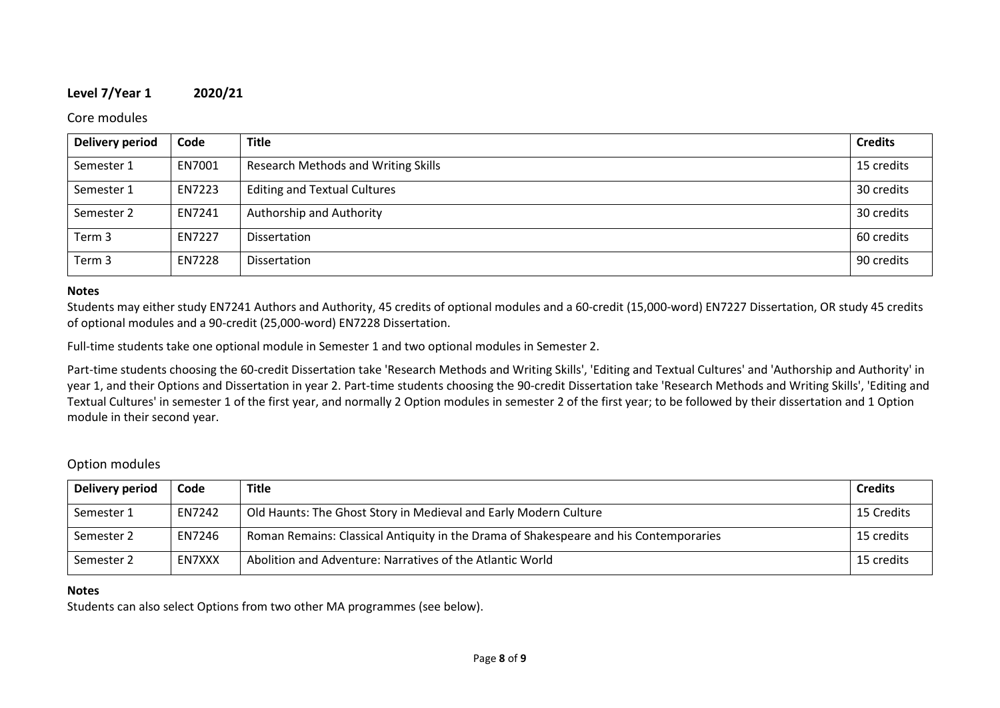## **Level 7/Year 1 2020/21**

#### Core modules

| <b>Delivery period</b> | Code   | <b>Title</b>                               | <b>Credits</b> |
|------------------------|--------|--------------------------------------------|----------------|
| Semester 1             | EN7001 | <b>Research Methods and Writing Skills</b> | 15 credits     |
| Semester 1             | EN7223 | <b>Editing and Textual Cultures</b>        | 30 credits     |
| Semester 2             | EN7241 | Authorship and Authority                   | 30 credits     |
| Term 3                 | EN7227 | Dissertation                               | 60 credits     |
| Term 3                 | EN7228 | Dissertation                               | 90 credits     |

### **Notes**

Students may either study EN7241 Authors and Authority, 45 credits of optional modules and a 60-credit (15,000-word) EN7227 Dissertation, OR study 45 credits of optional modules and a 90-credit (25,000-word) EN7228 Dissertation.

Full-time students take one optional module in Semester 1 and two optional modules in Semester 2.

Part-time students choosing the 60-credit Dissertation take 'Research Methods and Writing Skills', 'Editing and Textual Cultures' and 'Authorship and Authority' in year 1, and their Options and Dissertation in year 2. Part-time students choosing the 90-credit Dissertation take 'Research Methods and Writing Skills', 'Editing and Textual Cultures' in semester 1 of the first year, and normally 2 Option modules in semester 2 of the first year; to be followed by their dissertation and 1 Option module in their second year.

### Option modules

| Delivery period | Code   | <b>Title</b>                                                                          | <b>Credits</b> |
|-----------------|--------|---------------------------------------------------------------------------------------|----------------|
| Semester 1      | EN7242 | Old Haunts: The Ghost Story in Medieval and Early Modern Culture                      | 15 Credits     |
| Semester 2      | EN7246 | Roman Remains: Classical Antiquity in the Drama of Shakespeare and his Contemporaries | 15 credits     |
| Semester 2      | EN7XXX | Abolition and Adventure: Narratives of the Atlantic World                             | 15 credits     |

### **Notes**

Students can also select Options from two other MA programmes (see below).